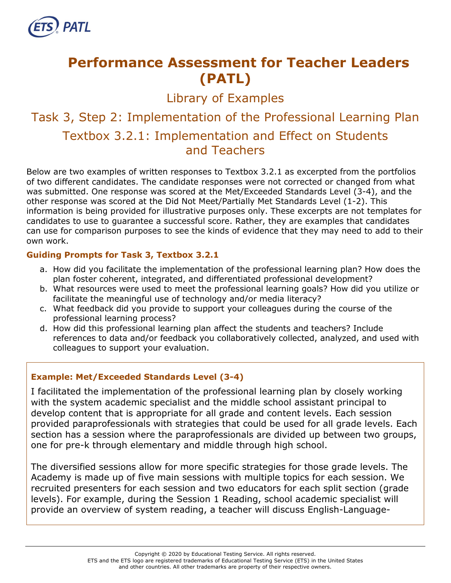

# **Performance Assessment for Teacher Leaders (PATL)**

Library of Examples

Task 3, Step 2: Implementation of the Professional Learning Plan Textbox 3.2.1: Implementation and Effect on Students and Teachers

Below are two examples of written responses to Textbox 3.2.1 as excerpted from the portfolios of two different candidates. The candidate responses were not corrected or changed from what was submitted. One response was scored at the Met/Exceeded Standards Level (3-4), and the other response was scored at the Did Not Meet/Partially Met Standards Level (1-2). This information is being provided for illustrative purposes only. These excerpts are not templates for candidates to use to guarantee a successful score. Rather, they are examples that candidates can use for comparison purposes to see the kinds of evidence that they may need to add to their own work.

#### **Guiding Prompts for Task 3, Textbox 3.2.1**

- a. How did you facilitate the implementation of the professional learning plan? How does the plan foster coherent, integrated, and differentiated professional development?
- b. What resources were used to meet the professional learning goals? How did you utilize or facilitate the meaningful use of technology and/or media literacy?
- c. What feedback did you provide to support your colleagues during the course of the professional learning process?
- d. How did this professional learning plan affect the students and teachers? Include references to data and/or feedback you collaboratively collected, analyzed, and used with colleagues to support your evaluation.

### **Example: Met/Exceeded Standards Level (3-4)**

I facilitated the implementation of the professional learning plan by closely working with the system academic specialist and the middle school assistant principal to develop content that is appropriate for all grade and content levels. Each session provided paraprofessionals with strategies that could be used for all grade levels. Each section has a session where the paraprofessionals are divided up between two groups, one for pre-k through elementary and middle through high school.

The diversified sessions allow for more specific strategies for those grade levels. The Academy is made up of five main sessions with multiple topics for each session. We recruited presenters for each session and two educators for each split section (grade levels). For example, during the Session 1 Reading, school academic specialist will provide an overview of system reading, a teacher will discuss English-Language-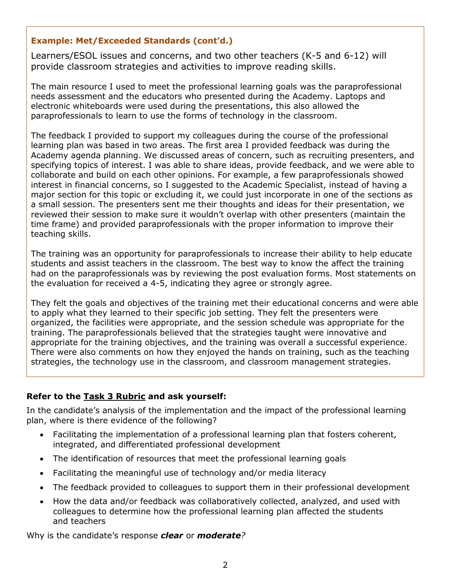#### **Example: Met/Exceeded Standards (cont'd.)**

Learners/ESOL issues and concerns, and two other teachers (K-5 and 6-12) will provide classroom strategies and activities to improve reading skills.

The main resource I used to meet the professional learning goals was the paraprofessional needs assessment and the educators who presented during the Academy. Laptops and electronic whiteboards were used during the presentations, this also allowed the paraprofessionals to learn to use the forms of technology in the classroom.

The feedback I provided to support my colleagues during the course of the professional learning plan was based in two areas. The first area I provided feedback was during the Academy agenda planning. We discussed areas of concern, such as recruiting presenters, and specifying topics of interest. I was able to share ideas, provide feedback, and we were able to collaborate and build on each other opinions. For example, a few paraprofessionals showed interest in financial concerns, so I suggested to the Academic Specialist, instead of having a major section for this topic or excluding it, we could just incorporate in one of the sections as a small session. The presenters sent me their thoughts and ideas for their presentation, we reviewed their session to make sure it wouldn't overlap with other presenters (maintain the time frame) and provided paraprofessionals with the proper information to improve their teaching skills.

The training was an opportunity for paraprofessionals to increase their ability to help educate students and assist teachers in the classroom. The best way to know the affect the training had on the paraprofessionals was by reviewing the post evaluation forms. Most statements on the evaluation for received a 4-5, indicating they agree or strongly agree.

They felt the goals and objectives of the training met their educational concerns and were able to apply what they learned to their specific job setting. They felt the presenters were organized, the facilities were appropriate, and the session schedule was appropriate for the training. The paraprofessionals believed that the strategies taught were innovative and appropriate for the training objectives, and the training was overall a successful experience. There were also comments on how they enjoyed the hands on training, such as the teaching strategies, the technology use in the classroom, and classroom management strategies.

### **Refer to the [Task 3](http://gace.ets.org/s/pdf/gace_teacher_leadership_assessment_task_3_rubric.pdf) Rubric and ask yourself:**

In the candidate's analysis of the implementation and the impact of the professional learning plan, where is there evidence of the following?

- Facilitating the implementation of a professional learning plan that fosters coherent, integrated, and differentiated professional development
- The identification of resources that meet the professional learning goals
- Facilitating the meaningful use of technology and/or media literacy
- The feedback provided to colleagues to support them in their professional development
- How the data and/or feedback was collaboratively collected, analyzed, and used with colleagues to determine how the professional learning plan affected the students and teachers

Why is the candidate's response *clear* or *moderate?*